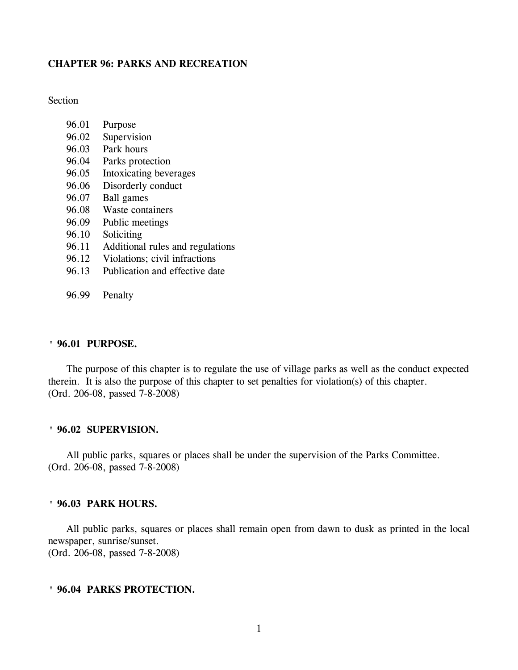#### **CHAPTER 96: PARKS AND RECREATION**

**Section** 

- 96.01 Purpose
- 96.02 Supervision
- 96.03 Park hours
- 96.04 Parks protection
- 96.05 Intoxicating beverages
- 96.06 Disorderly conduct
- 96.07 Ball games
- 96.08 Waste containers
- 96.09 Public meetings
- 96.10 Soliciting
- 96.11 Additional rules and regulations
- 96.12 Violations; civil infractions
- 96.13 Publication and effective date
- 96.99 Penalty

#### **' 96.01 PURPOSE.**

The purpose of this chapter is to regulate the use of village parks as well as the conduct expected therein. It is also the purpose of this chapter to set penalties for violation(s) of this chapter. (Ord. 206-08, passed 7-8-2008)

#### **' 96.02 SUPERVISION.**

All public parks, squares or places shall be under the supervision of the Parks Committee. (Ord. 206-08, passed 7-8-2008)

#### **' 96.03 PARK HOURS.**

All public parks, squares or places shall remain open from dawn to dusk as printed in the local newspaper, sunrise/sunset. (Ord. 206-08, passed 7-8-2008)

#### **' 96.04 PARKS PROTECTION.**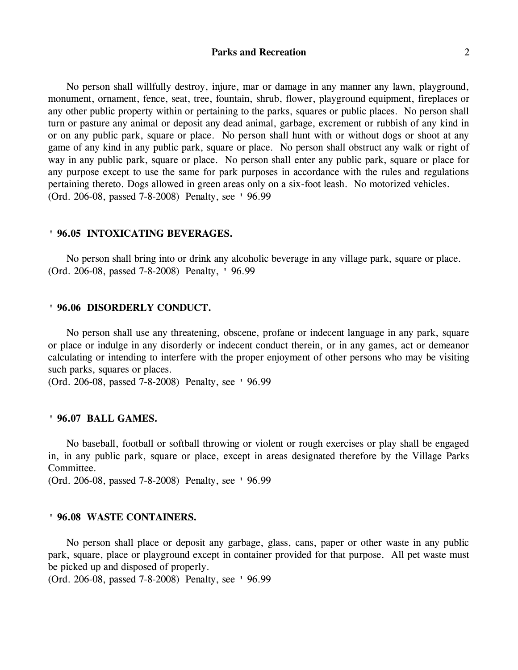# **Parks and Recreation** 2

No person shall willfully destroy, injure, mar or damage in any manner any lawn, playground, monument, ornament, fence, seat, tree, fountain, shrub, flower, playground equipment, fireplaces or any other public property within or pertaining to the parks, squares or public places. No person shall turn or pasture any animal or deposit any dead animal, garbage, excrement or rubbish of any kind in or on any public park, square or place. No person shall hunt with or without dogs or shoot at any game of any kind in any public park, square or place. No person shall obstruct any walk or right of way in any public park, square or place. No person shall enter any public park, square or place for any purpose except to use the same for park purposes in accordance with the rules and regulations pertaining thereto. Dogs allowed in green areas only on a six-foot leash. No motorized vehicles. (Ord. 206-08, passed 7-8-2008) Penalty, see ' 96.99

#### **' 96.05 INTOXICATING BEVERAGES.**

No person shall bring into or drink any alcoholic beverage in any village park, square or place. (Ord. 206-08, passed 7-8-2008) Penalty, ' 96.99

## **' 96.06 DISORDERLY CONDUCT.**

No person shall use any threatening, obscene, profane or indecent language in any park, square or place or indulge in any disorderly or indecent conduct therein, or in any games, act or demeanor calculating or intending to interfere with the proper enjoyment of other persons who may be visiting such parks, squares or places.

(Ord. 206-08, passed 7-8-2008) Penalty, see ' 96.99

#### **' 96.07 BALL GAMES.**

No baseball, football or softball throwing or violent or rough exercises or play shall be engaged in, in any public park, square or place, except in areas designated therefore by the Village Parks Committee.

(Ord. 206-08, passed 7-8-2008) Penalty, see ' 96.99

#### **' 96.08 WASTE CONTAINERS.**

No person shall place or deposit any garbage, glass, cans, paper or other waste in any public park, square, place or playground except in container provided for that purpose. All pet waste must be picked up and disposed of properly.

(Ord. 206-08, passed 7-8-2008) Penalty, see ' 96.99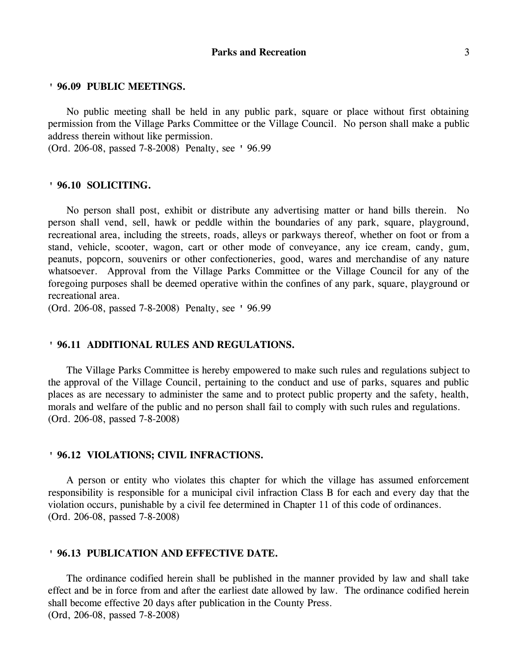No public meeting shall be held in any public park, square or place without first obtaining permission from the Village Parks Committee or the Village Council. No person shall make a public address therein without like permission.

(Ord. 206-08, passed 7-8-2008) Penalty, see ' 96.99

#### **' 96.10 SOLICITING.**

No person shall post, exhibit or distribute any advertising matter or hand bills therein. No person shall vend, sell, hawk or peddle within the boundaries of any park, square, playground, recreational area, including the streets, roads, alleys or parkways thereof, whether on foot or from a stand, vehicle, scooter, wagon, cart or other mode of conveyance, any ice cream, candy, gum, peanuts, popcorn, souvenirs or other confectioneries, good, wares and merchandise of any nature whatsoever. Approval from the Village Parks Committee or the Village Council for any of the foregoing purposes shall be deemed operative within the confines of any park, square, playground or recreational area.

(Ord. 206-08, passed 7-8-2008) Penalty, see ' 96.99

## **' 96.11 ADDITIONAL RULES AND REGULATIONS.**

The Village Parks Committee is hereby empowered to make such rules and regulations subject to the approval of the Village Council, pertaining to the conduct and use of parks, squares and public places as are necessary to administer the same and to protect public property and the safety, health, morals and welfare of the public and no person shall fail to comply with such rules and regulations. (Ord. 206-08, passed 7-8-2008)

## **' 96.12 VIOLATIONS; CIVIL INFRACTIONS.**

A person or entity who violates this chapter for which the village has assumed enforcement responsibility is responsible for a municipal civil infraction Class B for each and every day that the violation occurs, punishable by a civil fee determined in Chapter 11 of this code of ordinances. (Ord. 206-08, passed 7-8-2008)

#### **' 96.13 PUBLICATION AND EFFECTIVE DATE.**

The ordinance codified herein shall be published in the manner provided by law and shall take effect and be in force from and after the earliest date allowed by law. The ordinance codified herein shall become effective 20 days after publication in the County Press. (Ord, 206-08, passed 7-8-2008)